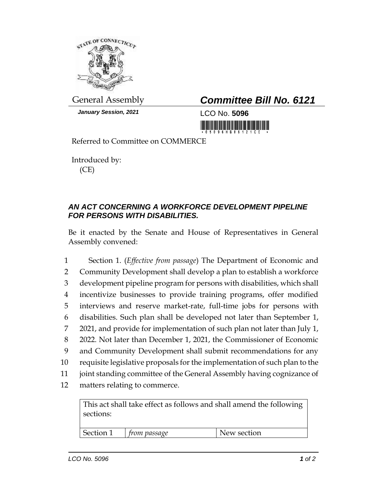

*January Session, 2021* LCO No. **5096**

## General Assembly *Committee Bill No. 6121*

<u> Harry Harry Harry Harry Harry Harry Harry Harry Harry Harry Harry Harry Harry Harry Harry Harry Harry Harry H</u>

Referred to Committee on COMMERCE

Introduced by: (CE)

## *AN ACT CONCERNING A WORKFORCE DEVELOPMENT PIPELINE FOR PERSONS WITH DISABILITIES.*

Be it enacted by the Senate and House of Representatives in General Assembly convened:

 Section 1. (*Effective from passage*) The Department of Economic and Community Development shall develop a plan to establish a workforce development pipeline program for persons with disabilities, which shall incentivize businesses to provide training programs, offer modified interviews and reserve market-rate, full-time jobs for persons with disabilities. Such plan shall be developed not later than September 1, 2021, and provide for implementation of such plan not later than July 1, 2022. Not later than December 1, 2021, the Commissioner of Economic and Community Development shall submit recommendations for any requisite legislative proposals for the implementation of such plan to the joint standing committee of the General Assembly having cognizance of matters relating to commerce.

This act shall take effect as follows and shall amend the following sections:

Section 1 *from passage* New section